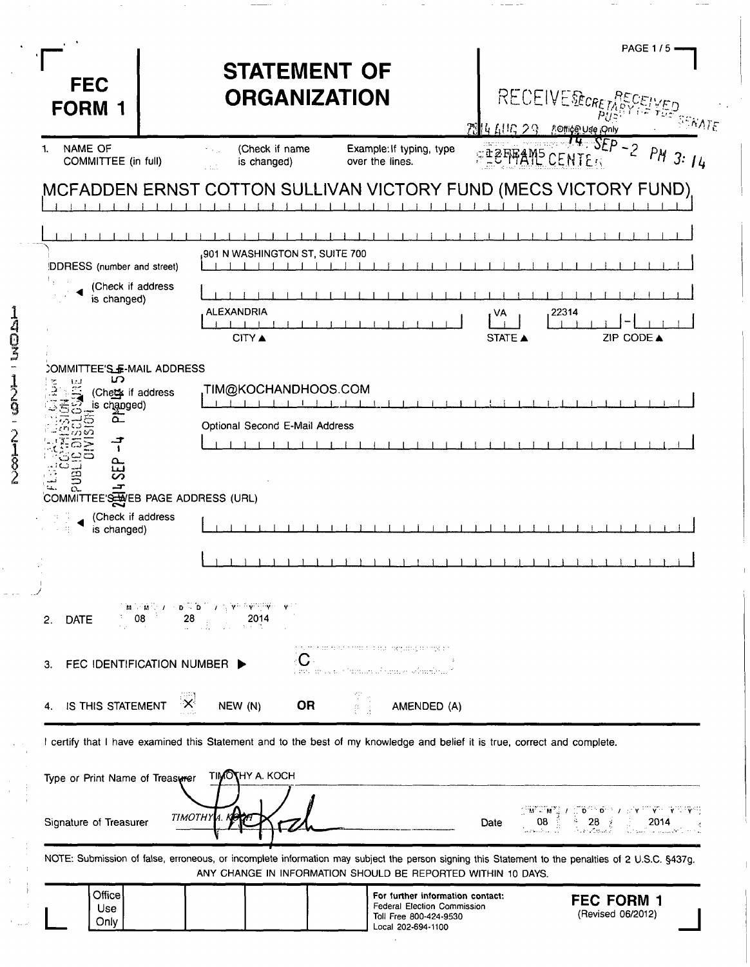|             | <b>FEC</b><br><b>FORM 1</b>                                                                                                | <b>STATEMENT OF</b><br><b>ORGANIZATION</b>                                                                                                                                                                        |                                                                                                                 | <b>RECEIVE RECRETA</b><br>4 AUG 29. | <b>PAGE 1/5</b><br>$\Delta$ $\Lambda$ $\Gamma$<br><b>AOffice Use Only</b>                                                                                                                                                                                                                                 |
|-------------|----------------------------------------------------------------------------------------------------------------------------|-------------------------------------------------------------------------------------------------------------------------------------------------------------------------------------------------------------------|-----------------------------------------------------------------------------------------------------------------|-------------------------------------|-----------------------------------------------------------------------------------------------------------------------------------------------------------------------------------------------------------------------------------------------------------------------------------------------------------|
|             | NAME OF<br>1.<br>COMMITTEE (in full)                                                                                       | (Check if name<br>ti viji<br>is changed)<br>a ba                                                                                                                                                                  | Example: If typing, type<br>over the lines.                                                                     | <b>EEFFAME CENTER</b>               | 74.55p<br>$-2$<br>$PM$ 3: $14$                                                                                                                                                                                                                                                                            |
|             |                                                                                                                            | MCFADDEN ERNST COTTON SULLIVAN VICTORY FUND (MECS VICTORY FUND)                                                                                                                                                   |                                                                                                                 |                                     |                                                                                                                                                                                                                                                                                                           |
|             |                                                                                                                            | 901 N WASHINGTON ST, SUITE 700                                                                                                                                                                                    |                                                                                                                 |                                     |                                                                                                                                                                                                                                                                                                           |
|             | DDRESS (number and street)<br>(Check if address                                                                            |                                                                                                                                                                                                                   |                                                                                                                 |                                     |                                                                                                                                                                                                                                                                                                           |
|             | is changed)                                                                                                                | <b>ALEXANDRIA</b>                                                                                                                                                                                                 |                                                                                                                 | 22314<br>VA                         |                                                                                                                                                                                                                                                                                                           |
| ACM         |                                                                                                                            | <b>CITY A</b>                                                                                                                                                                                                     |                                                                                                                 | STATE A                             | ZIP CODE A                                                                                                                                                                                                                                                                                                |
| 7<br>9      | COMMITTEE'S F-MAIL ADDRESS<br>ഗ<br>(Chett if address<br>is changed)                                                        | TIM@KOCHANDHOOS.COM,                                                                                                                                                                                              |                                                                                                                 |                                     |                                                                                                                                                                                                                                                                                                           |
|             | ൶                                                                                                                          | Optional Second E-Mail Address                                                                                                                                                                                    |                                                                                                                 |                                     |                                                                                                                                                                                                                                                                                                           |
| ร<br>2<br>2 | ൨<br>COMMITTEE'S HOB PAGE ADDRESS (URL)                                                                                    |                                                                                                                                                                                                                   |                                                                                                                 |                                     |                                                                                                                                                                                                                                                                                                           |
|             | (Check if address<br>is changed)                                                                                           |                                                                                                                                                                                                                   |                                                                                                                 |                                     |                                                                                                                                                                                                                                                                                                           |
|             |                                                                                                                            |                                                                                                                                                                                                                   |                                                                                                                 |                                     |                                                                                                                                                                                                                                                                                                           |
|             |                                                                                                                            |                                                                                                                                                                                                                   |                                                                                                                 |                                     |                                                                                                                                                                                                                                                                                                           |
|             | <b>DATE</b><br>2.                                                                                                          | 28<br>2014                                                                                                                                                                                                        |                                                                                                                 |                                     |                                                                                                                                                                                                                                                                                                           |
|             | FEC IDENTIFICATION NUMBER ><br>З.                                                                                          | $ {\bf C} $                                                                                                                                                                                                       | internant de na hannoù d'al deus ar gwyddolg de nangwesta<br>, rro ar oca o Samura abarado cómaribud (          |                                     |                                                                                                                                                                                                                                                                                                           |
|             | IS THIS STATEMENT<br>4.                                                                                                    | ੱ×ੇ<br><b>OR</b><br>NEW (N)                                                                                                                                                                                       | 空き<br>AMENDED (A)                                                                                               |                                     |                                                                                                                                                                                                                                                                                                           |
|             | I certify that I have examined this Statement and to the best of my knowledge and belief it is true, correct and complete. |                                                                                                                                                                                                                   |                                                                                                                 |                                     |                                                                                                                                                                                                                                                                                                           |
|             | Type or Print Name of Treasurer                                                                                            | <b>TIMOTHY A. KOCH</b>                                                                                                                                                                                            |                                                                                                                 |                                     |                                                                                                                                                                                                                                                                                                           |
|             | Signature of Treasurer                                                                                                     | <b>TIMOTHY</b>                                                                                                                                                                                                    |                                                                                                                 | Date                                | $\begin{array}{ccc} \text{CH}^{\text{H}}\overset{\text{H}}{\otimes}\text{H}^{\text{H}} & \text{I} & \text{I} & \text{I} & \text{I} & \text{I} & \text{I} & \text{V} & \text{V} & \text{V} & \text{V} & \text{V} \\ \text{O8} & & & & 28 & & & & 2014 \\ \text{O8} & & & & & 28 & & & 2014 \\ \end{array}$ |
|             |                                                                                                                            | NOTE: Submission of false, erroneous, or incomplete information may subject the person signing this Statement to the penalties of 2 U.S.C. §437g.<br>ANY CHANGE IN INFORMATION SHOULD BE REPORTED WITHIN 10 DAYS. |                                                                                                                 |                                     |                                                                                                                                                                                                                                                                                                           |
|             | Office<br>Use<br>Only                                                                                                      |                                                                                                                                                                                                                   | For further information contact:<br>Federal Election Commission<br>Toll Free 800-424-9530<br>Local 202-694-1100 |                                     | <b>FEC FORM 1</b><br>(Revised 06/2012)                                                                                                                                                                                                                                                                    |

 $\gamma$ 

 $\overline{\phantom{a}}$ 

 $\overline{\phantom{a}}$ 

 $\cdot$ 

 $\overline{\phantom{m}}$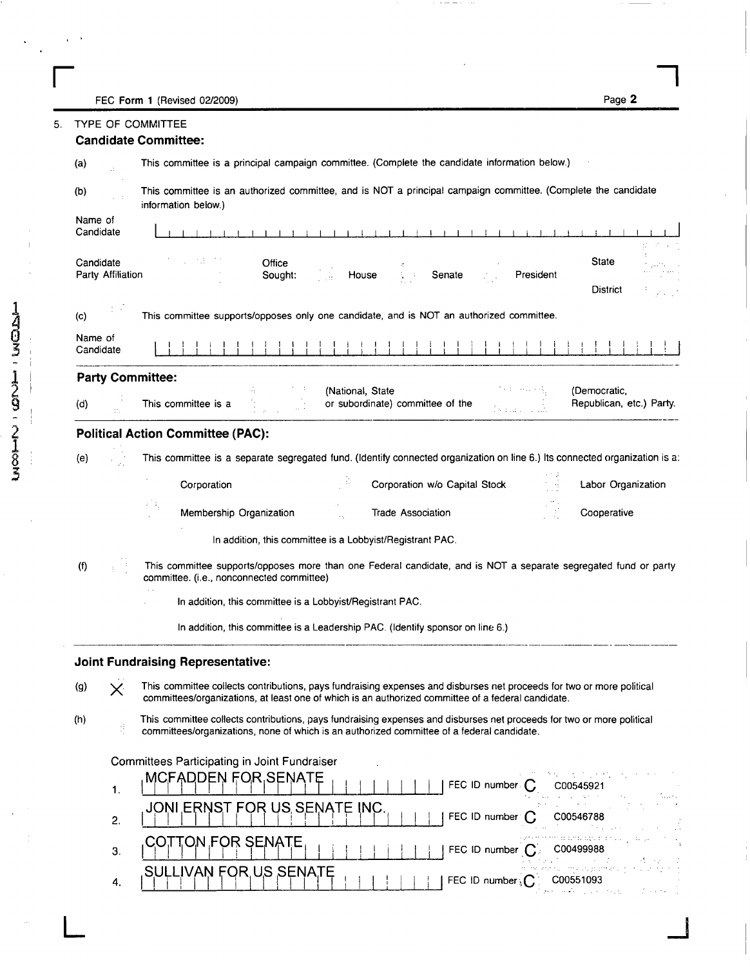**r** 5000 1 (Povjest 02/2000) FEC Form 1 (Revised 02/2009)

| ń<br>г | ı. |  |
|--------|----|--|
|        |    |  |

|                      | <b>TYPE OF COMMITTEE</b> |                                                                                                                                                                                                                             |  |  |  |
|----------------------|--------------------------|-----------------------------------------------------------------------------------------------------------------------------------------------------------------------------------------------------------------------------|--|--|--|
|                      |                          | <b>Candidate Committee:</b>                                                                                                                                                                                                 |  |  |  |
| (a)                  |                          | This committee is a principal campaign committee. (Complete the candidate information below.)                                                                                                                               |  |  |  |
| (b)                  |                          | This committee is an authorized committee, and is NOT a principal campaign committee. (Complete the candidate<br>information below.)                                                                                        |  |  |  |
| Name of<br>Candidate |                          |                                                                                                                                                                                                                             |  |  |  |
| Candidate            | Party Affiliation        | . H.<br>State<br>Office<br>轻快<br>House<br>Senate<br>President<br>Sought:<br>District                                                                                                                                        |  |  |  |
| (c)                  |                          | This committee supports/opposes only one candidate, and is NOT an authorized committee.                                                                                                                                     |  |  |  |
| Name of<br>Candidate |                          |                                                                                                                                                                                                                             |  |  |  |
|                      |                          | <b>Party Committee:</b>                                                                                                                                                                                                     |  |  |  |
| (d)                  |                          | (National, State<br>(Democratic,<br>or subordinate) committee of the<br>Republican, etc.) Party.<br>This committee is a                                                                                                     |  |  |  |
|                      |                          | <b>Political Action Committee (PAC):</b>                                                                                                                                                                                    |  |  |  |
| (e)                  |                          | This committee is a separate segregated fund. (Identify connected organization on line 6.) Its connected organization is a:                                                                                                 |  |  |  |
|                      |                          | Corporation<br>Corporation w/o Capital Stock<br>Labor Organization                                                                                                                                                          |  |  |  |
|                      |                          | Membership Organization<br>Trade Association<br>Cooperative                                                                                                                                                                 |  |  |  |
|                      |                          | In addition, this committee is a Lobbyist/Registrant PAC.                                                                                                                                                                   |  |  |  |
| (f)                  |                          | This committee supports/opposes more than one Federal candidate, and is NOT a separate segregated fund or party<br>committee. (i.e., nonconnected committee)                                                                |  |  |  |
|                      |                          | In addition, this committee is a Lobbyist/Registrant PAC.                                                                                                                                                                   |  |  |  |
|                      |                          | In addition, this committee is a Leadership PAC. (Identify sponsor on line 6.)                                                                                                                                              |  |  |  |
|                      |                          | <b>Joint Fundraising Representative:</b>                                                                                                                                                                                    |  |  |  |
| (g)                  | $\times$                 | This committee collects contributions, pays fundraising expenses and disburses net proceeds for two or more political<br>committees/organizations, at least one of which is an authorized committee of a federal candidate. |  |  |  |
| (h)                  | ś                        | This committee collects contributions, pays fundraising expenses and disburses net proceeds for two or more political<br>committees/organizations, none of which is an authorized committee of a federal candidate.         |  |  |  |
|                      |                          | Committees Participating in Joint Fundraiser                                                                                                                                                                                |  |  |  |
|                      | 1.                       | <b>MCFADDEN FOR SENATE</b><br>FEC ID number<br>C00545921                                                                                                                                                                    |  |  |  |
|                      | 2.                       | JONI ERNST FOR US SENATE INC<br>FEC ID number:<br>C00546788                                                                                                                                                                 |  |  |  |
|                      |                          |                                                                                                                                                                                                                             |  |  |  |
|                      | 3.                       | COTTON FOR SENATE<br>FEC ID number (<br>C00499988                                                                                                                                                                           |  |  |  |

 $\cdots$ 

**L**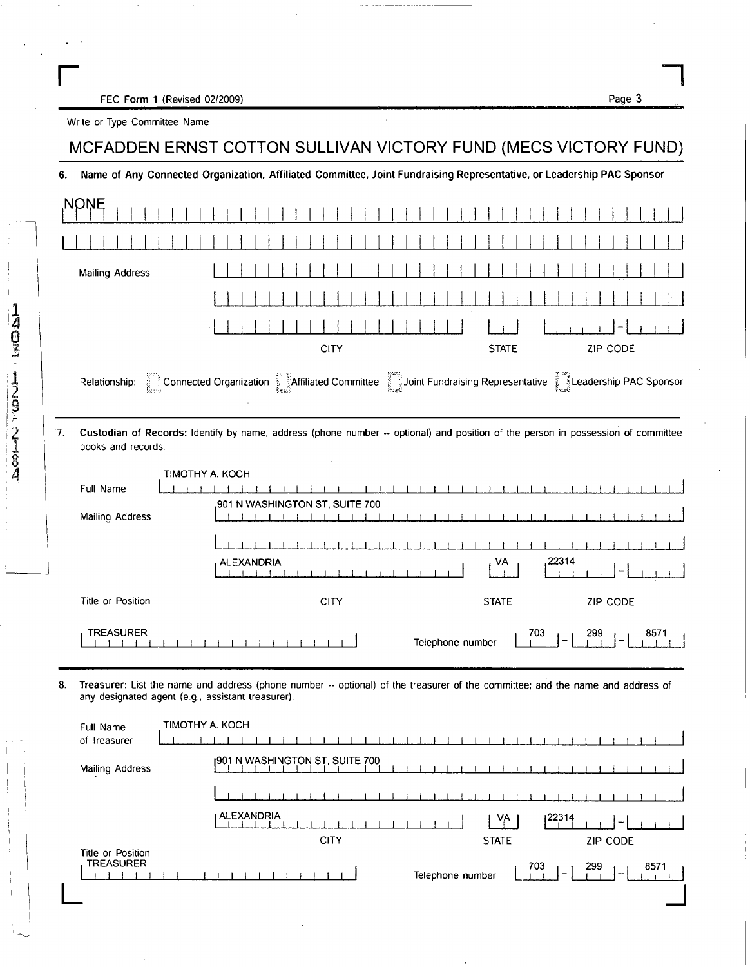FEC Form 1 (Revised 02/2009)

Page 3

Write or Type Committee Name

1403-129-21384

## MCFADDEN ERNST COTTON SULLIVAN VICTORY FUND (MECS VICTORY FUND)

6. Name of Any Connected Organization, Affiliated Committee, Joint Fundraising Representative, or Leadership PAC Sponsor

|    | NONE                                                |                                                                                                                                  |                  |                     |                   |              |
|----|-----------------------------------------------------|----------------------------------------------------------------------------------------------------------------------------------|------------------|---------------------|-------------------|--------------|
|    |                                                     |                                                                                                                                  |                  |                     |                   |              |
|    | Mailing Address                                     |                                                                                                                                  |                  |                     |                   |              |
|    |                                                     |                                                                                                                                  |                  |                     |                   |              |
|    |                                                     |                                                                                                                                  |                  |                     |                   |              |
|    |                                                     | <b>CITY</b>                                                                                                                      |                  | <b>STATE</b>        | ZIP CODE          |              |
|    |                                                     | Relationship: Connected Organization Martilliated Committee Joint Fundraising Representative Leadership PAC Sponsor              |                  |                     |                   |              |
| 7. | books and records.                                  | Custodian of Records: Identify by name, address (phone number -- optional) and position of the person in possession of committee |                  |                     |                   |              |
|    | TIMOTHY A. KOCH<br>Full Name                        |                                                                                                                                  |                  |                     |                   |              |
|    | Mailing Address                                     | 901 N WASHINGTON ST, SUITE 700                                                                                                   |                  |                     |                   |              |
|    |                                                     |                                                                                                                                  |                  |                     |                   |              |
|    |                                                     | <b>ALEXANDRIA</b>                                                                                                                |                  | VA                  | 22314             |              |
|    | Title or Position                                   | <b>CITY</b>                                                                                                                      |                  | <b>STATE</b>        | ZIP CODE          |              |
|    | <b>TREASURER</b>                                    |                                                                                                                                  | Telephone number | $\frac{703}{1}$     | 299               | 8571         |
| 8. | any designated agent (e.g., assistant treasurer).   | Treasurer: List the name and address (phone number -- optional) of the treasurer of the committee; and the name and address of   |                  |                     |                   |              |
|    | <b>TIMOTHY A. KOCH</b><br>Full Name<br>of Treasurer |                                                                                                                                  |                  |                     |                   | $\mathbf{I}$ |
|    | Mailing Address                                     | 1901 N WASHINGTON ST, SUITE 700                                                                                                  |                  |                     |                   |              |
|    |                                                     |                                                                                                                                  |                  |                     |                   |              |
|    |                                                     | ALEXANDRIA<br><b>CITY</b>                                                                                                        |                  | VA.<br><b>STATE</b> | 22314<br>ZIP CODE |              |
|    | Title or Position<br><b>TREASURER</b>               |                                                                                                                                  | Telephone number | 703                 | 299               | 8571         |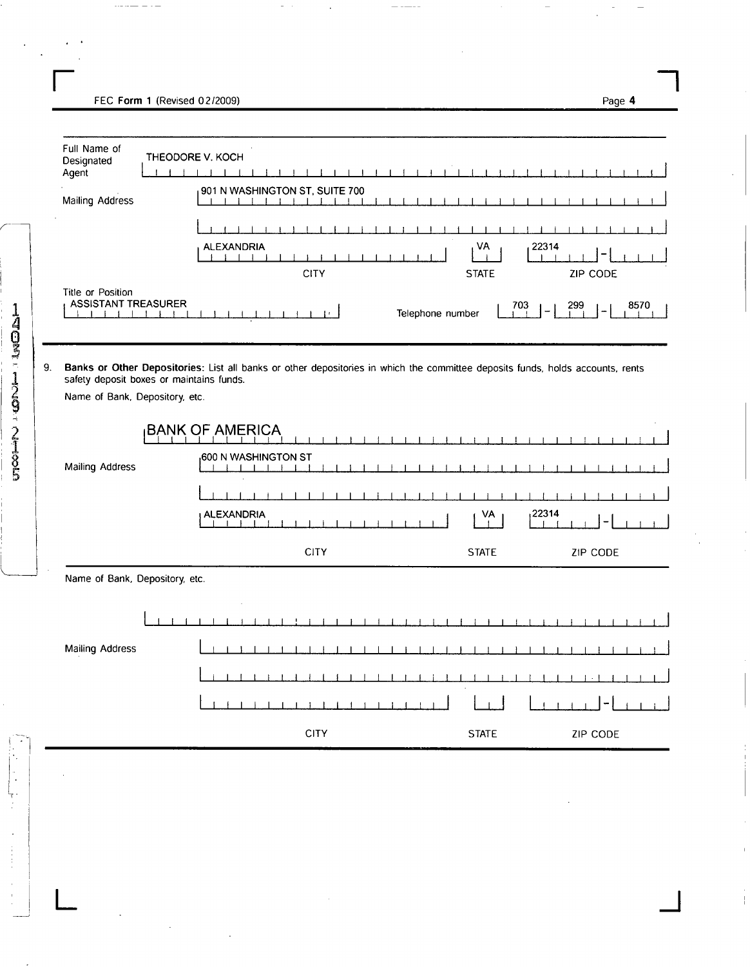FEC Form 1 (Revised 02/2009) FEC Form 1 (Revised 02/2009) Page 4

| Full Name of<br>Designated<br>Agent             | THEODORE V. KOCH                                                                                                                                                           |                         |             |
|-------------------------------------------------|----------------------------------------------------------------------------------------------------------------------------------------------------------------------------|-------------------------|-------------|
| <b>Mailing Address</b>                          | 901 N WASHINGTON ST, SUITE 700                                                                                                                                             |                         |             |
|                                                 |                                                                                                                                                                            |                         |             |
|                                                 | <b>ALEXANDRIA</b>                                                                                                                                                          | VA                      | 22314       |
|                                                 | <b>CITY</b>                                                                                                                                                                | <b>STATE</b>            | ZIP CODE    |
| Title or Position<br><b>ASSISTANT TREASURER</b> | ŧκ.<br>$\cdots$                                                                                                                                                            | 703<br>Telephone number | 299<br>8570 |
|                                                 | Banks or Other Depositories: List all banks or other depositories in which the committee deposits funds, holds accounts, rents<br>safety deposit boxes or maintains funds. |                         |             |
| Name of Bank, Depository, etc.                  |                                                                                                                                                                            |                         |             |
|                                                 | <b>BANK OF AMERICA</b>                                                                                                                                                     |                         |             |
| Mailing Address                                 | <sub>1</sub> 600 N WASHINGTON ST                                                                                                                                           |                         |             |
|                                                 |                                                                                                                                                                            |                         |             |
|                                                 | <b>ALEXANDRIA</b>                                                                                                                                                          | VA                      | ,22314      |
|                                                 | <b>CITY</b>                                                                                                                                                                | <b>STATE</b>            | ZIP CODE    |
| Name of Bank, Depository, etc.                  |                                                                                                                                                                            |                         |             |
|                                                 |                                                                                                                                                                            |                         |             |
|                                                 |                                                                                                                                                                            |                         |             |
| Mailing Address                                 |                                                                                                                                                                            |                         |             |
|                                                 |                                                                                                                                                                            |                         |             |
|                                                 |                                                                                                                                                                            |                         | -           |
|                                                 |                                                                                                                                                                            |                         |             |

**L J** 

 $\frac{1}{2}$ 

×

**8** 

 $\frac{1}{\frac{1}{2}}$  $\frac{1}{2}$ Ļ.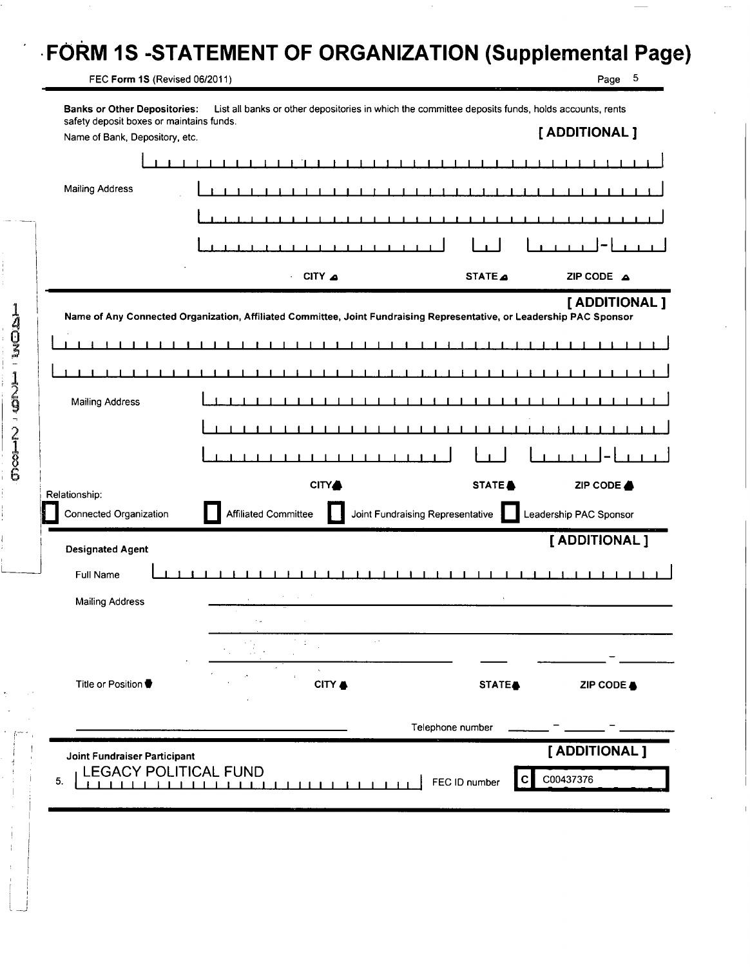## **FORM 1S -STATEMENT OF ORGANIZATION (Supplemental Page)**

FEC Form 1S (Revised 06/2011) **Page 5** 

**INDICIPE** I HOTO: CONFIGURA

| г<br>- |  |
|--------|--|
|        |  |

| safety deposit boxes or maintains funds. |                                                                                                                       |                                  | [ ADDITIONAL ]         |
|------------------------------------------|-----------------------------------------------------------------------------------------------------------------------|----------------------------------|------------------------|
| Name of Bank, Depository, etc.           |                                                                                                                       |                                  |                        |
|                                          |                                                                                                                       |                                  |                        |
| <b>Mailing Address</b>                   |                                                                                                                       |                                  |                        |
|                                          |                                                                                                                       |                                  |                        |
|                                          |                                                                                                                       |                                  |                        |
|                                          | CITY A<br>$\overline{\phantom{a}}$                                                                                    | STATE                            | ZIP CODE A             |
|                                          | Name of Any Connected Organization, Affiliated Committee, Joint Fundraising Representative, or Leadership PAC Sponsor |                                  | [ ADDITIONAL ]         |
|                                          |                                                                                                                       |                                  |                        |
|                                          |                                                                                                                       |                                  |                        |
| <b>Mailing Address</b>                   |                                                                                                                       |                                  |                        |
|                                          |                                                                                                                       |                                  |                        |
|                                          |                                                                                                                       |                                  |                        |
|                                          | <b>CITY</b>                                                                                                           | STATE <sup>&amp;</sup>           | ZIP CODE &             |
| Relationship:<br>Connected Organization  | <b>Affiliated Committee</b>                                                                                           | Joint Fundraising Representative | Leadership PAC Sponsor |
| <b>Designated Agent</b>                  |                                                                                                                       |                                  | [ ADDITIONAL ]         |
| Full Name                                |                                                                                                                       |                                  |                        |
| <b>Mailing Address</b>                   |                                                                                                                       |                                  |                        |
|                                          |                                                                                                                       |                                  |                        |
|                                          |                                                                                                                       |                                  |                        |
| Title or Position ♥                      | CITY &                                                                                                                | STATE <sub>®</sub>               | ZIP CODE &             |
|                                          |                                                                                                                       | Telephone number                 |                        |
| Joint Fundraiser Participant             |                                                                                                                       |                                  | [ ADDITIONAL ]         |
|                                          | <b>LEGACY POLITICAL FUND</b>                                                                                          |                                  |                        |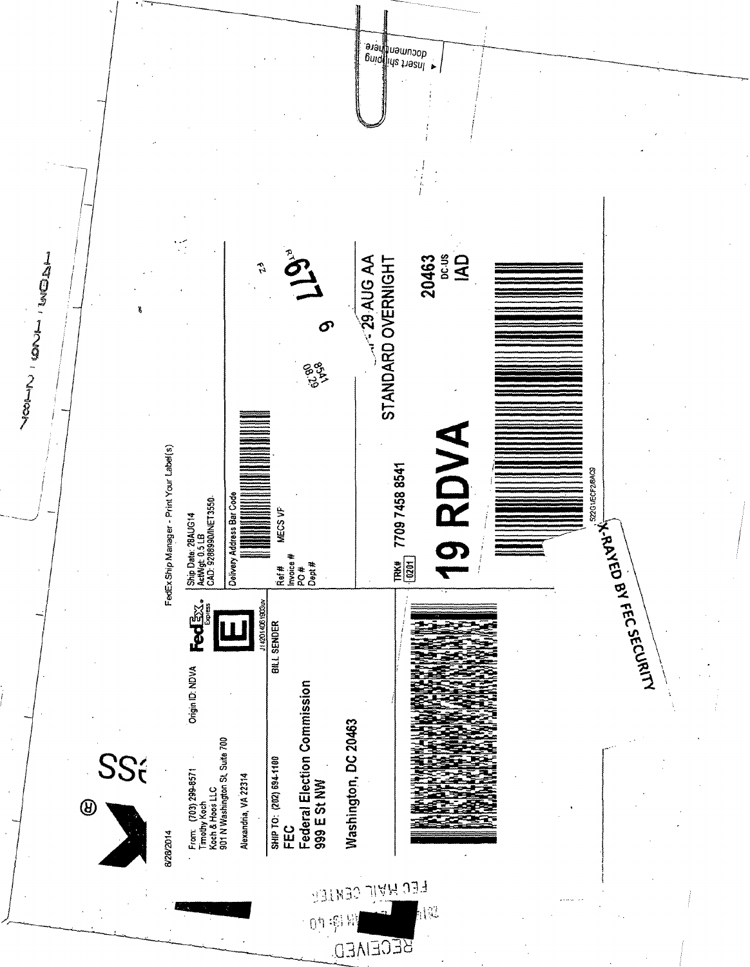